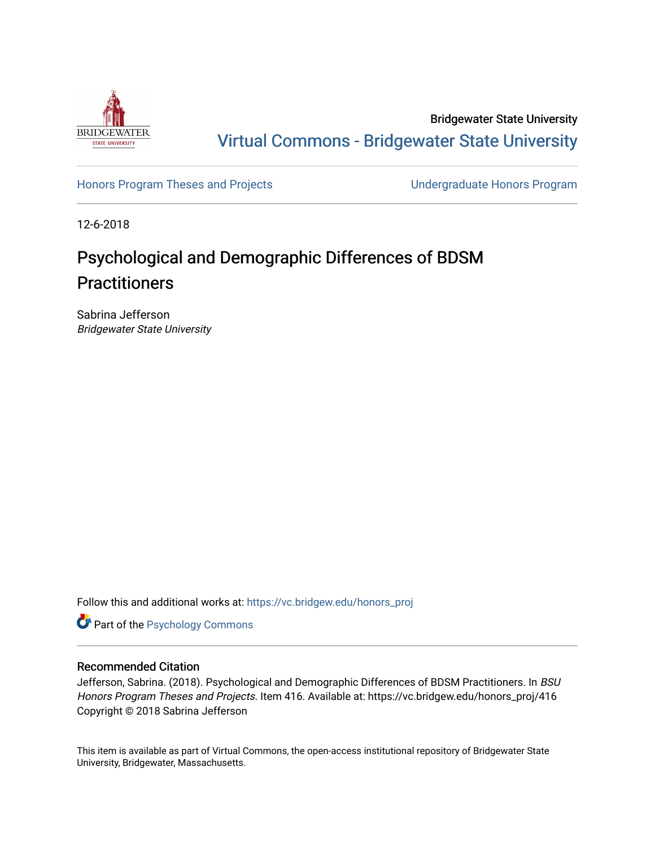

Bridgewater State University [Virtual Commons - Bridgewater State University](https://vc.bridgew.edu/) 

[Honors Program Theses and Projects](https://vc.bridgew.edu/honors_proj) [Undergraduate Honors Program](https://vc.bridgew.edu/honors) 

12-6-2018

# Psychological and Demographic Differences of BDSM **Practitioners**

Sabrina Jefferson Bridgewater State University

Follow this and additional works at: [https://vc.bridgew.edu/honors\\_proj](https://vc.bridgew.edu/honors_proj?utm_source=vc.bridgew.edu%2Fhonors_proj%2F416&utm_medium=PDF&utm_campaign=PDFCoverPages)

Part of the [Psychology Commons](http://network.bepress.com/hgg/discipline/404?utm_source=vc.bridgew.edu%2Fhonors_proj%2F416&utm_medium=PDF&utm_campaign=PDFCoverPages) 

# Recommended Citation

Jefferson, Sabrina. (2018). Psychological and Demographic Differences of BDSM Practitioners. In BSU Honors Program Theses and Projects. Item 416. Available at: https://vc.bridgew.edu/honors\_proj/416 Copyright © 2018 Sabrina Jefferson

This item is available as part of Virtual Commons, the open-access institutional repository of Bridgewater State University, Bridgewater, Massachusetts.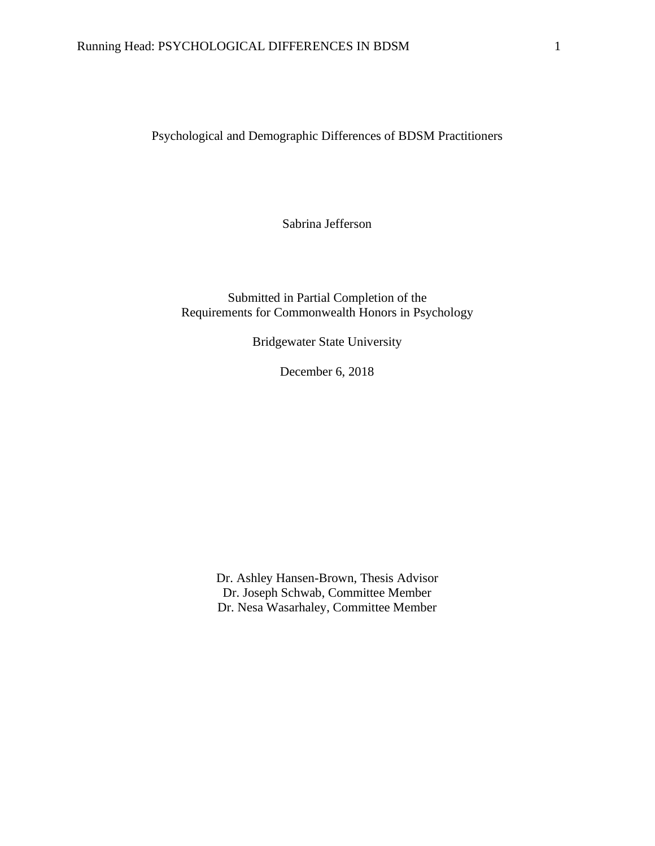Psychological and Demographic Differences of BDSM Practitioners

Sabrina Jefferson

Submitted in Partial Completion of the Requirements for Commonwealth Honors in Psychology

Bridgewater State University

December 6, 2018

Dr. Ashley Hansen-Brown, Thesis Advisor Dr. Joseph Schwab, Committee Member Dr. Nesa Wasarhaley, Committee Member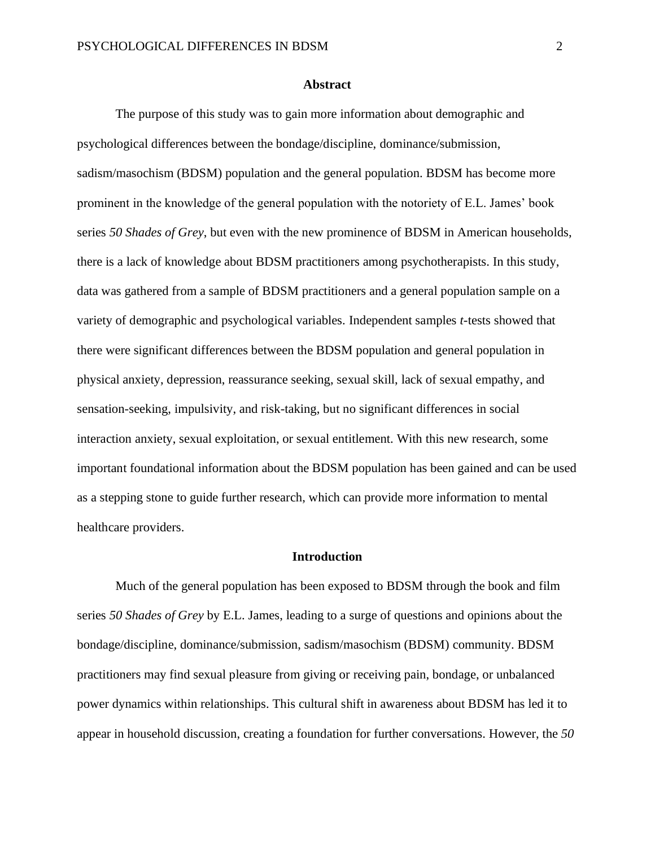#### **Abstract**

The purpose of this study was to gain more information about demographic and psychological differences between the bondage/discipline, dominance/submission, sadism/masochism (BDSM) population and the general population. BDSM has become more prominent in the knowledge of the general population with the notoriety of E.L. James' book series *50 Shades of Grey*, but even with the new prominence of BDSM in American households, there is a lack of knowledge about BDSM practitioners among psychotherapists. In this study, data was gathered from a sample of BDSM practitioners and a general population sample on a variety of demographic and psychological variables. Independent samples *t*-tests showed that there were significant differences between the BDSM population and general population in physical anxiety, depression, reassurance seeking, sexual skill, lack of sexual empathy, and sensation-seeking, impulsivity, and risk-taking, but no significant differences in social interaction anxiety, sexual exploitation, or sexual entitlement. With this new research, some important foundational information about the BDSM population has been gained and can be used as a stepping stone to guide further research, which can provide more information to mental healthcare providers.

#### **Introduction**

Much of the general population has been exposed to BDSM through the book and film series *50 Shades of Grey* by E.L. James, leading to a surge of questions and opinions about the bondage/discipline, dominance/submission, sadism/masochism (BDSM) community. BDSM practitioners may find sexual pleasure from giving or receiving pain, bondage, or unbalanced power dynamics within relationships. This cultural shift in awareness about BDSM has led it to appear in household discussion, creating a foundation for further conversations. However, the *50*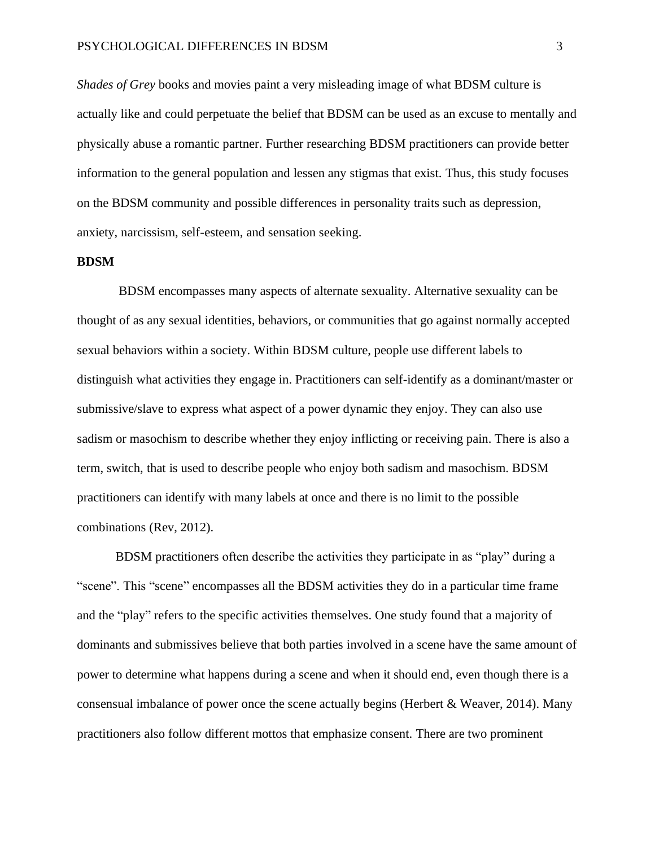### PSYCHOLOGICAL DIFFERENCES IN BDSM 3

*Shades of Grey* books and movies paint a very misleading image of what BDSM culture is actually like and could perpetuate the belief that BDSM can be used as an excuse to mentally and physically abuse a romantic partner. Further researching BDSM practitioners can provide better information to the general population and lessen any stigmas that exist. Thus, this study focuses on the BDSM community and possible differences in personality traits such as depression, anxiety, narcissism, self-esteem, and sensation seeking.

# **BDSM**

BDSM encompasses many aspects of alternate sexuality. Alternative sexuality can be thought of as any sexual identities, behaviors, or communities that go against normally accepted sexual behaviors within a society. Within BDSM culture, people use different labels to distinguish what activities they engage in. Practitioners can self-identify as a dominant/master or submissive/slave to express what aspect of a power dynamic they enjoy. They can also use sadism or masochism to describe whether they enjoy inflicting or receiving pain. There is also a term, switch, that is used to describe people who enjoy both sadism and masochism. BDSM practitioners can identify with many labels at once and there is no limit to the possible combinations (Rev, 2012).

BDSM practitioners often describe the activities they participate in as "play" during a "scene". This "scene" encompasses all the BDSM activities they do in a particular time frame and the "play" refers to the specific activities themselves. One study found that a majority of dominants and submissives believe that both parties involved in a scene have the same amount of power to determine what happens during a scene and when it should end, even though there is a consensual imbalance of power once the scene actually begins (Herbert & Weaver, 2014). Many practitioners also follow different mottos that emphasize consent. There are two prominent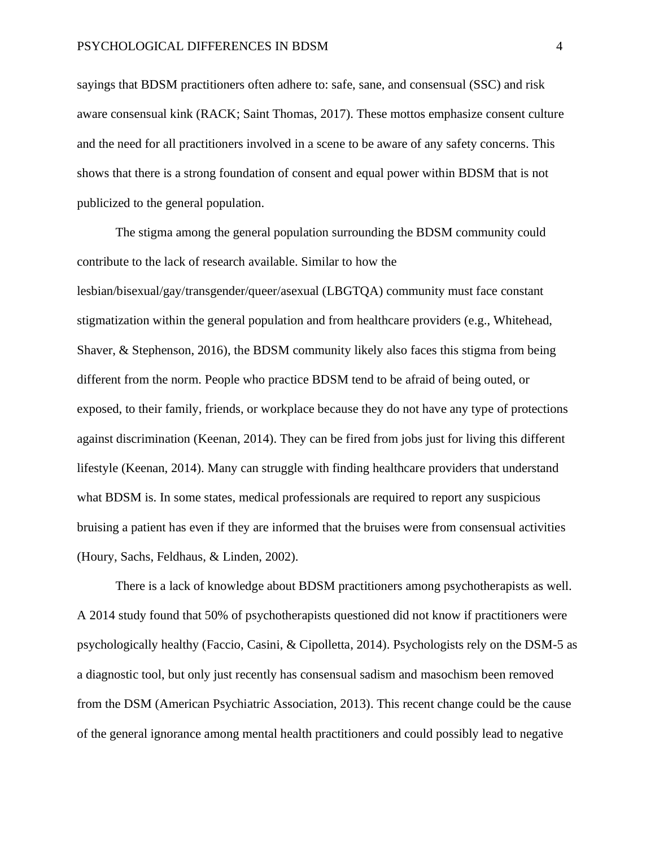sayings that BDSM practitioners often adhere to: safe, sane, and consensual (SSC) and risk aware consensual kink (RACK; Saint Thomas, 2017). These mottos emphasize consent culture and the need for all practitioners involved in a scene to be aware of any safety concerns. This shows that there is a strong foundation of consent and equal power within BDSM that is not publicized to the general population.

The stigma among the general population surrounding the BDSM community could contribute to the lack of research available. Similar to how the lesbian/bisexual/gay/transgender/queer/asexual (LBGTQA) community must face constant stigmatization within the general population and from healthcare providers (e.g., Whitehead, Shaver, & Stephenson, 2016), the BDSM community likely also faces this stigma from being different from the norm. People who practice BDSM tend to be afraid of being outed, or exposed, to their family, friends, or workplace because they do not have any type of protections against discrimination (Keenan, 2014). They can be fired from jobs just for living this different lifestyle (Keenan, 2014). Many can struggle with finding healthcare providers that understand what BDSM is. In some states, medical professionals are required to report any suspicious bruising a patient has even if they are informed that the bruises were from consensual activities (Houry, Sachs, Feldhaus, & Linden, 2002).

There is a lack of knowledge about BDSM practitioners among psychotherapists as well. A 2014 study found that 50% of psychotherapists questioned did not know if practitioners were psychologically healthy (Faccio, Casini, & Cipolletta, 2014). Psychologists rely on the DSM-5 as a diagnostic tool, but only just recently has consensual sadism and masochism been removed from the DSM (American Psychiatric Association, 2013). This recent change could be the cause of the general ignorance among mental health practitioners and could possibly lead to negative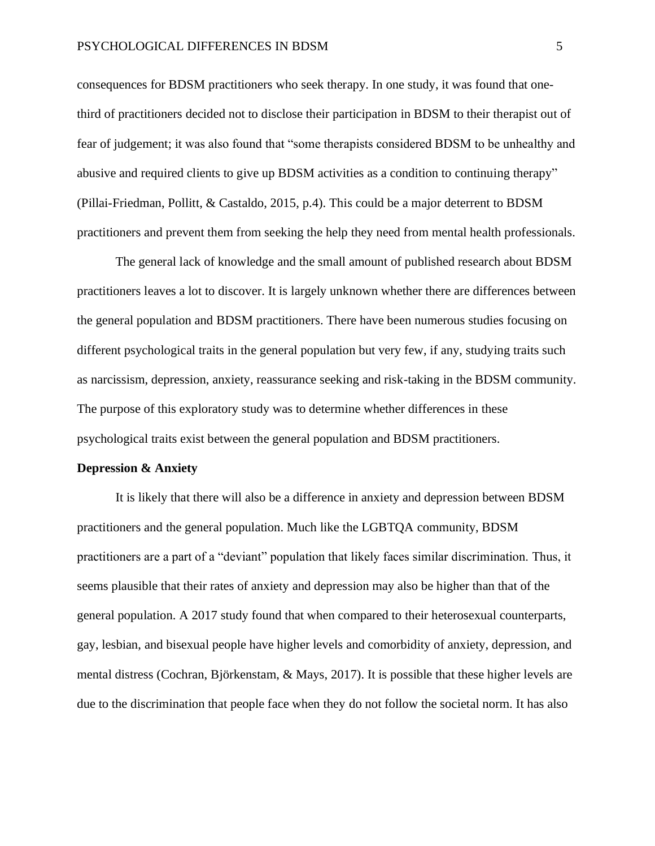#### PSYCHOLOGICAL DIFFERENCES IN BDSM 5

consequences for BDSM practitioners who seek therapy. In one study, it was found that onethird of practitioners decided not to disclose their participation in BDSM to their therapist out of fear of judgement; it was also found that "some therapists considered BDSM to be unhealthy and abusive and required clients to give up BDSM activities as a condition to continuing therapy" (Pillai-Friedman, Pollitt, & Castaldo, 2015, p.4). This could be a major deterrent to BDSM practitioners and prevent them from seeking the help they need from mental health professionals.

The general lack of knowledge and the small amount of published research about BDSM practitioners leaves a lot to discover. It is largely unknown whether there are differences between the general population and BDSM practitioners. There have been numerous studies focusing on different psychological traits in the general population but very few, if any, studying traits such as narcissism, depression, anxiety, reassurance seeking and risk-taking in the BDSM community. The purpose of this exploratory study was to determine whether differences in these psychological traits exist between the general population and BDSM practitioners.

## **Depression & Anxiety**

It is likely that there will also be a difference in anxiety and depression between BDSM practitioners and the general population. Much like the LGBTQA community, BDSM practitioners are a part of a "deviant" population that likely faces similar discrimination. Thus, it seems plausible that their rates of anxiety and depression may also be higher than that of the general population. A 2017 study found that when compared to their heterosexual counterparts, gay, lesbian, and bisexual people have higher levels and comorbidity of anxiety, depression, and mental distress (Cochran, Björkenstam, & Mays, 2017). It is possible that these higher levels are due to the discrimination that people face when they do not follow the societal norm. It has also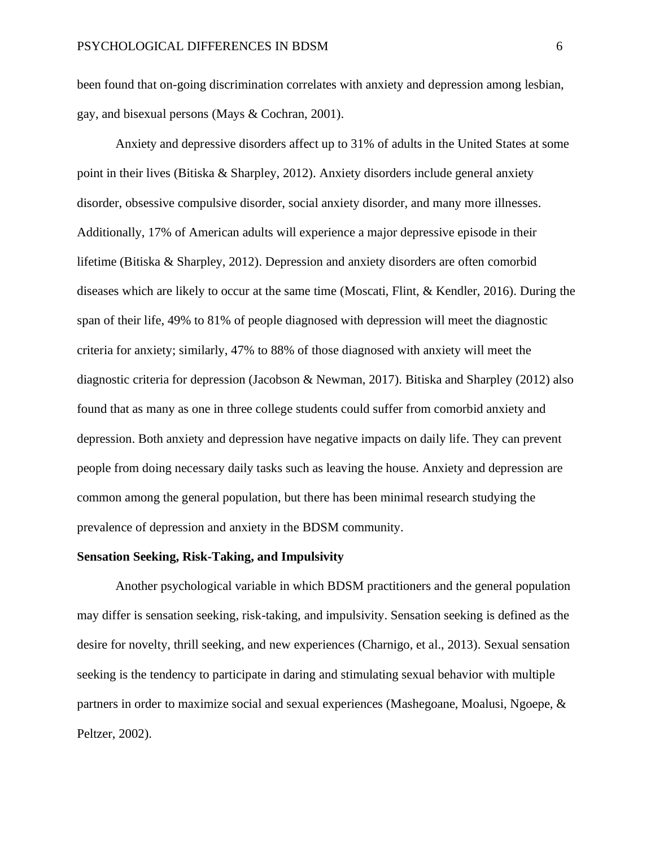been found that on-going discrimination correlates with anxiety and depression among lesbian, gay, and bisexual persons (Mays & Cochran, 2001).

Anxiety and depressive disorders affect up to 31% of adults in the United States at some point in their lives (Bitiska & Sharpley, 2012). Anxiety disorders include general anxiety disorder, obsessive compulsive disorder, social anxiety disorder, and many more illnesses. Additionally, 17% of American adults will experience a major depressive episode in their lifetime (Bitiska & Sharpley, 2012). Depression and anxiety disorders are often comorbid diseases which are likely to occur at the same time (Moscati, Flint, & Kendler, 2016). During the span of their life, 49% to 81% of people diagnosed with depression will meet the diagnostic criteria for anxiety; similarly, 47% to 88% of those diagnosed with anxiety will meet the diagnostic criteria for depression (Jacobson & Newman, 2017). Bitiska and Sharpley (2012) also found that as many as one in three college students could suffer from comorbid anxiety and depression. Both anxiety and depression have negative impacts on daily life. They can prevent people from doing necessary daily tasks such as leaving the house. Anxiety and depression are common among the general population, but there has been minimal research studying the prevalence of depression and anxiety in the BDSM community.

#### **Sensation Seeking, Risk-Taking, and Impulsivity**

Another psychological variable in which BDSM practitioners and the general population may differ is sensation seeking, risk-taking, and impulsivity. Sensation seeking is defined as the desire for novelty, thrill seeking, and new experiences (Charnigo, et al., 2013). Sexual sensation seeking is the tendency to participate in daring and stimulating sexual behavior with multiple partners in order to maximize social and sexual experiences (Mashegoane, Moalusi, Ngoepe, & Peltzer, 2002).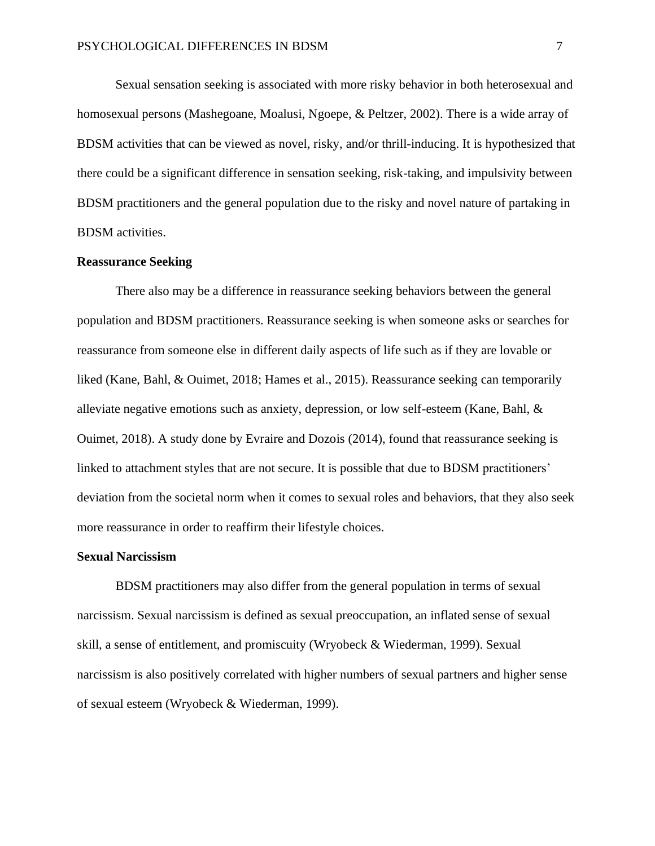Sexual sensation seeking is associated with more risky behavior in both heterosexual and homosexual persons (Mashegoane, Moalusi, Ngoepe, & Peltzer, 2002). There is a wide array of BDSM activities that can be viewed as novel, risky, and/or thrill-inducing. It is hypothesized that there could be a significant difference in sensation seeking, risk-taking, and impulsivity between BDSM practitioners and the general population due to the risky and novel nature of partaking in BDSM activities.

## **Reassurance Seeking**

There also may be a difference in reassurance seeking behaviors between the general population and BDSM practitioners. Reassurance seeking is when someone asks or searches for reassurance from someone else in different daily aspects of life such as if they are lovable or liked (Kane, Bahl, & Ouimet, 2018; Hames et al., 2015). Reassurance seeking can temporarily alleviate negative emotions such as anxiety, depression, or low self-esteem (Kane, Bahl, & Ouimet, 2018). A study done by Evraire and Dozois (2014), found that reassurance seeking is linked to attachment styles that are not secure. It is possible that due to BDSM practitioners' deviation from the societal norm when it comes to sexual roles and behaviors, that they also seek more reassurance in order to reaffirm their lifestyle choices.

#### **Sexual Narcissism**

BDSM practitioners may also differ from the general population in terms of sexual narcissism. Sexual narcissism is defined as sexual preoccupation, an inflated sense of sexual skill, a sense of entitlement, and promiscuity (Wryobeck & Wiederman, 1999). Sexual narcissism is also positively correlated with higher numbers of sexual partners and higher sense of sexual esteem (Wryobeck & Wiederman, 1999).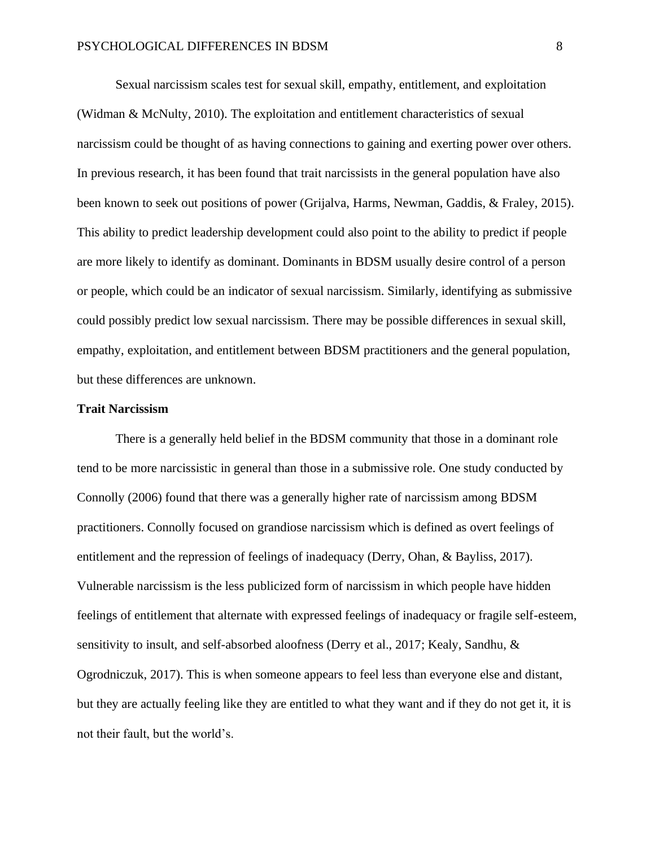Sexual narcissism scales test for sexual skill, empathy, entitlement, and exploitation (Widman & McNulty, 2010). The exploitation and entitlement characteristics of sexual narcissism could be thought of as having connections to gaining and exerting power over others. In previous research, it has been found that trait narcissists in the general population have also been known to seek out positions of power (Grijalva, Harms, Newman, Gaddis, & Fraley, 2015). This ability to predict leadership development could also point to the ability to predict if people are more likely to identify as dominant. Dominants in BDSM usually desire control of a person or people, which could be an indicator of sexual narcissism. Similarly, identifying as submissive could possibly predict low sexual narcissism. There may be possible differences in sexual skill, empathy, exploitation, and entitlement between BDSM practitioners and the general population, but these differences are unknown.

#### **Trait Narcissism**

There is a generally held belief in the BDSM community that those in a dominant role tend to be more narcissistic in general than those in a submissive role. One study conducted by Connolly (2006) found that there was a generally higher rate of narcissism among BDSM practitioners. Connolly focused on grandiose narcissism which is defined as overt feelings of entitlement and the repression of feelings of inadequacy (Derry, Ohan, & Bayliss, 2017). Vulnerable narcissism is the less publicized form of narcissism in which people have hidden feelings of entitlement that alternate with expressed feelings of inadequacy or fragile self-esteem, sensitivity to insult, and self-absorbed aloofness (Derry et al., 2017; Kealy, Sandhu, & Ogrodniczuk, 2017). This is when someone appears to feel less than everyone else and distant, but they are actually feeling like they are entitled to what they want and if they do not get it, it is not their fault, but the world's.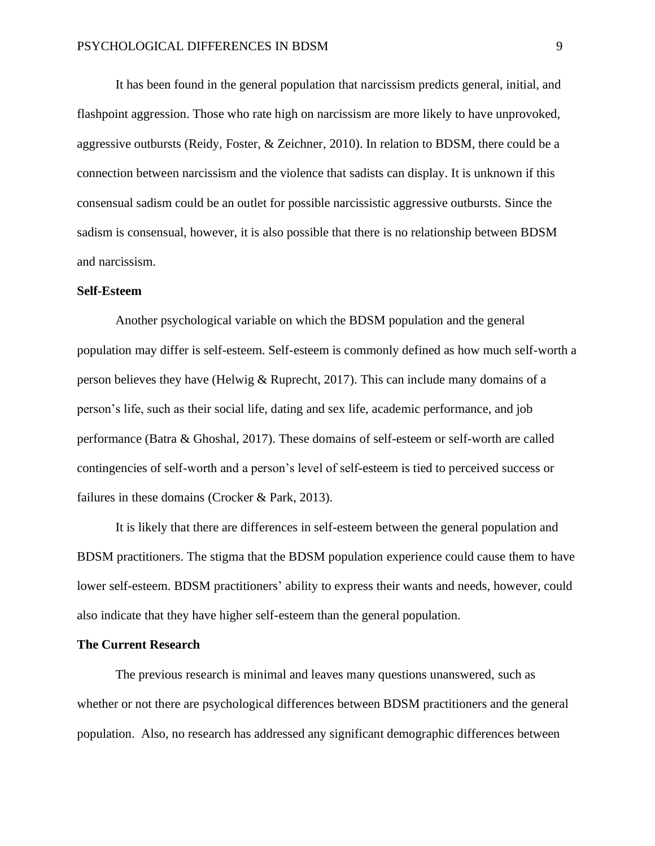It has been found in the general population that narcissism predicts general, initial, and flashpoint aggression. Those who rate high on narcissism are more likely to have unprovoked, aggressive outbursts (Reidy, Foster, & Zeichner, 2010). In relation to BDSM, there could be a connection between narcissism and the violence that sadists can display. It is unknown if this consensual sadism could be an outlet for possible narcissistic aggressive outbursts. Since the sadism is consensual, however, it is also possible that there is no relationship between BDSM and narcissism.

#### **Self-Esteem**

Another psychological variable on which the BDSM population and the general population may differ is self-esteem. Self-esteem is commonly defined as how much self-worth a person believes they have (Helwig & Ruprecht, 2017). This can include many domains of a person's life, such as their social life, dating and sex life, academic performance, and job performance (Batra & Ghoshal, 2017). These domains of self-esteem or self-worth are called contingencies of self-worth and a person's level of self-esteem is tied to perceived success or failures in these domains (Crocker & Park, 2013).

It is likely that there are differences in self-esteem between the general population and BDSM practitioners. The stigma that the BDSM population experience could cause them to have lower self-esteem. BDSM practitioners' ability to express their wants and needs, however, could also indicate that they have higher self-esteem than the general population.

#### **The Current Research**

The previous research is minimal and leaves many questions unanswered, such as whether or not there are psychological differences between BDSM practitioners and the general population. Also, no research has addressed any significant demographic differences between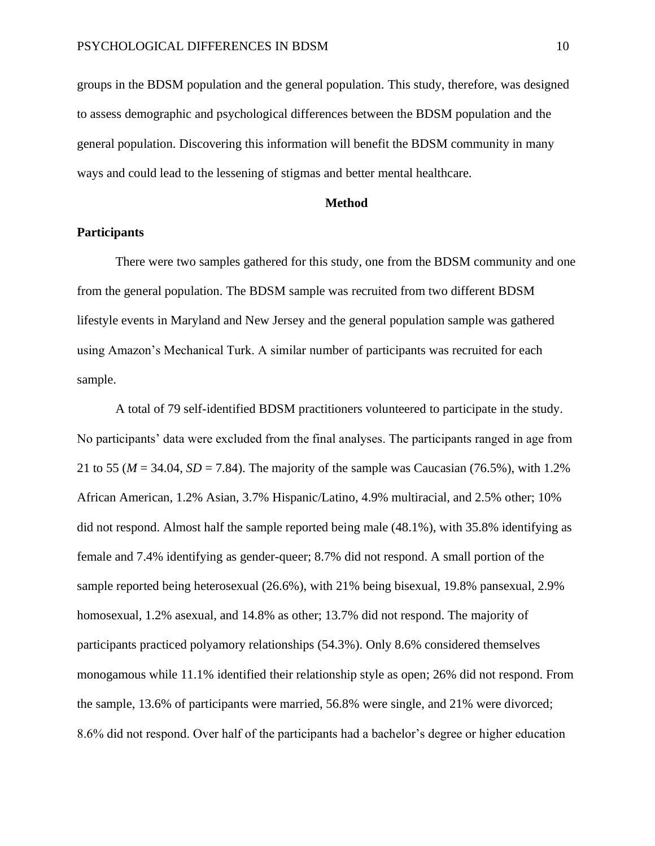groups in the BDSM population and the general population. This study, therefore, was designed to assess demographic and psychological differences between the BDSM population and the general population. Discovering this information will benefit the BDSM community in many ways and could lead to the lessening of stigmas and better mental healthcare.

## **Method**

## **Participants**

There were two samples gathered for this study, one from the BDSM community and one from the general population. The BDSM sample was recruited from two different BDSM lifestyle events in Maryland and New Jersey and the general population sample was gathered using Amazon's Mechanical Turk. A similar number of participants was recruited for each sample.

A total of 79 self-identified BDSM practitioners volunteered to participate in the study. No participants' data were excluded from the final analyses. The participants ranged in age from 21 to 55 ( $M = 34.04$ ,  $SD = 7.84$ ). The majority of the sample was Caucasian (76.5%), with 1.2% African American, 1.2% Asian, 3.7% Hispanic/Latino, 4.9% multiracial, and 2.5% other; 10% did not respond. Almost half the sample reported being male (48.1%), with 35.8% identifying as female and 7.4% identifying as gender-queer; 8.7% did not respond. A small portion of the sample reported being heterosexual (26.6%), with 21% being bisexual, 19.8% pansexual, 2.9% homosexual, 1.2% asexual, and 14.8% as other; 13.7% did not respond. The majority of participants practiced polyamory relationships (54.3%). Only 8.6% considered themselves monogamous while 11.1% identified their relationship style as open; 26% did not respond. From the sample, 13.6% of participants were married, 56.8% were single, and 21% were divorced; 8.6% did not respond. Over half of the participants had a bachelor's degree or higher education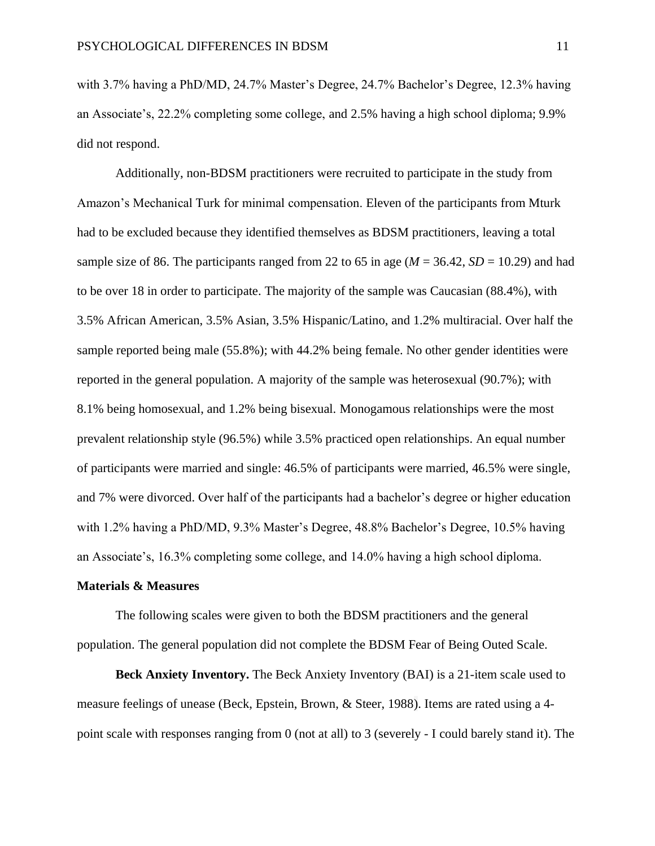with 3.7% having a PhD/MD, 24.7% Master's Degree, 24.7% Bachelor's Degree, 12.3% having an Associate's, 22.2% completing some college, and 2.5% having a high school diploma; 9.9% did not respond.

Additionally, non-BDSM practitioners were recruited to participate in the study from Amazon's Mechanical Turk for minimal compensation. Eleven of the participants from Mturk had to be excluded because they identified themselves as BDSM practitioners, leaving a total sample size of 86. The participants ranged from 22 to 65 in age  $(M = 36.42, SD = 10.29)$  and had to be over 18 in order to participate. The majority of the sample was Caucasian (88.4%), with 3.5% African American, 3.5% Asian, 3.5% Hispanic/Latino, and 1.2% multiracial. Over half the sample reported being male (55.8%); with 44.2% being female. No other gender identities were reported in the general population. A majority of the sample was heterosexual (90.7%); with 8.1% being homosexual, and 1.2% being bisexual. Monogamous relationships were the most prevalent relationship style (96.5%) while 3.5% practiced open relationships. An equal number of participants were married and single: 46.5% of participants were married, 46.5% were single, and 7% were divorced. Over half of the participants had a bachelor's degree or higher education with 1.2% having a PhD/MD, 9.3% Master's Degree, 48.8% Bachelor's Degree, 10.5% having an Associate's, 16.3% completing some college, and 14.0% having a high school diploma.

#### **Materials & Measures**

The following scales were given to both the BDSM practitioners and the general population. The general population did not complete the BDSM Fear of Being Outed Scale.

**Beck Anxiety Inventory.** The Beck Anxiety Inventory (BAI) is a 21-item scale used to measure feelings of unease (Beck, Epstein, Brown, & Steer, 1988). Items are rated using a 4 point scale with responses ranging from 0 (not at all) to 3 (severely - I could barely stand it). The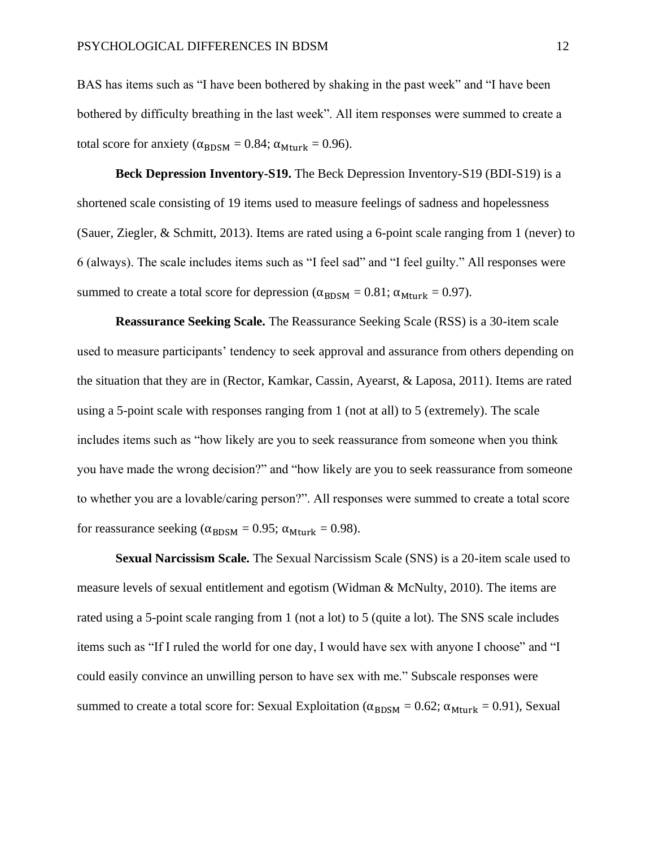BAS has items such as "I have been bothered by shaking in the past week" and "I have been bothered by difficulty breathing in the last week". All item responses were summed to create a total score for anxiety ( $\alpha_{\text{BDSM}} = 0.84$ ;  $\alpha_{\text{Mturk}} = 0.96$ ).

**Beck Depression Inventory-S19.** The Beck Depression Inventory-S19 (BDI-S19) is a shortened scale consisting of 19 items used to measure feelings of sadness and hopelessness (Sauer, Ziegler, & Schmitt, 2013). Items are rated using a 6-point scale ranging from 1 (never) to 6 (always). The scale includes items such as "I feel sad" and "I feel guilty." All responses were summed to create a total score for depression ( $\alpha_{\text{BDSM}} = 0.81$ ;  $\alpha_{\text{Mturk}} = 0.97$ ).

**Reassurance Seeking Scale.** The Reassurance Seeking Scale (RSS) is a 30-item scale used to measure participants' tendency to seek approval and assurance from others depending on the situation that they are in (Rector, Kamkar, Cassin, Ayearst, & Laposa, 2011). Items are rated using a 5-point scale with responses ranging from 1 (not at all) to 5 (extremely). The scale includes items such as "how likely are you to seek reassurance from someone when you think you have made the wrong decision?" and "how likely are you to seek reassurance from someone to whether you are a lovable/caring person?". All responses were summed to create a total score for reassurance seeking ( $\alpha_{\text{BDSM}} = 0.95$ ;  $\alpha_{\text{Mturk}} = 0.98$ ).

**Sexual Narcissism Scale.** The Sexual Narcissism Scale (SNS) is a 20-item scale used to measure levels of sexual entitlement and egotism (Widman & McNulty, 2010). The items are rated using a 5-point scale ranging from 1 (not a lot) to 5 (quite a lot). The SNS scale includes items such as "If I ruled the world for one day, I would have sex with anyone I choose" and "I could easily convince an unwilling person to have sex with me." Subscale responses were summed to create a total score for: Sexual Exploitation ( $\alpha_{\text{BDSM}} = 0.62$ ;  $\alpha_{\text{Mturk}} = 0.91$ ), Sexual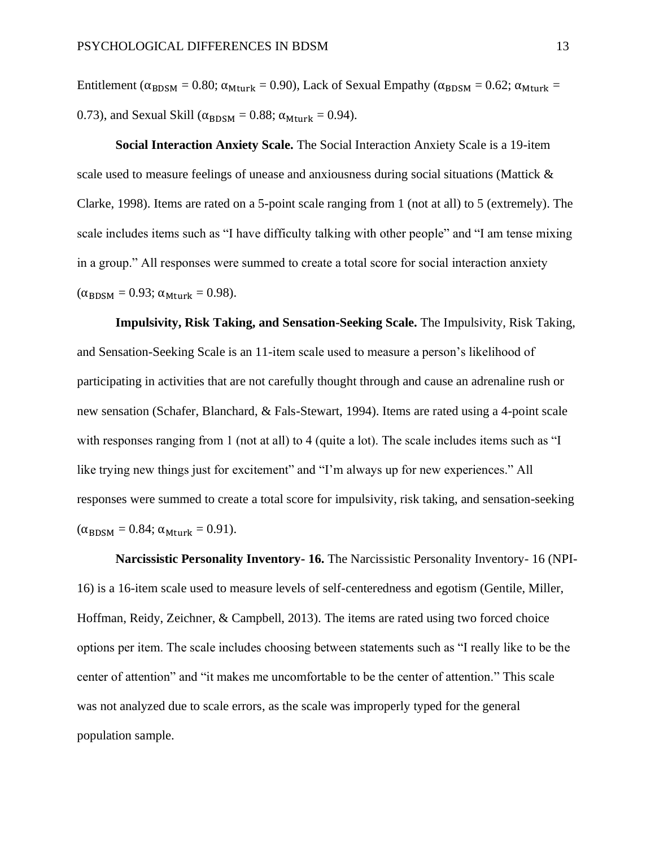Entitlement ( $\alpha_{\text{BDSM}} = 0.80$ ;  $\alpha_{\text{Mturk}} = 0.90$ ), Lack of Sexual Empathy ( $\alpha_{\text{BDSM}} = 0.62$ ;  $\alpha_{\text{Mturk}} =$ 0.73), and Sexual Skill ( $\alpha_{\text{BDSM}} = 0.88$ ;  $\alpha_{\text{Mturk}} = 0.94$ ).

**Social Interaction Anxiety Scale.** The Social Interaction Anxiety Scale is a 19-item scale used to measure feelings of unease and anxiousness during social situations (Mattick & Clarke, 1998). Items are rated on a 5-point scale ranging from 1 (not at all) to 5 (extremely). The scale includes items such as "I have difficulty talking with other people" and "I am tense mixing in a group." All responses were summed to create a total score for social interaction anxiety  $(\alpha_{\text{BDSM}} = 0.93; \alpha_{\text{Mturk}} = 0.98).$ 

**Impulsivity, Risk Taking, and Sensation-Seeking Scale.** The Impulsivity, Risk Taking, and Sensation-Seeking Scale is an 11-item scale used to measure a person's likelihood of participating in activities that are not carefully thought through and cause an adrenaline rush or new sensation (Schafer, Blanchard, & Fals-Stewart, 1994). Items are rated using a 4-point scale with responses ranging from 1 (not at all) to 4 (quite a lot). The scale includes items such as "I like trying new things just for excitement" and "I'm always up for new experiences." All responses were summed to create a total score for impulsivity, risk taking, and sensation-seeking  $(\alpha_{\rm BDSM} = 0.84; \alpha_{\rm Mturk} = 0.91).$ 

**Narcissistic Personality Inventory- 16.** The Narcissistic Personality Inventory- 16 (NPI-16) is a 16-item scale used to measure levels of self-centeredness and egotism (Gentile, Miller, Hoffman, Reidy, Zeichner, & Campbell, 2013). The items are rated using two forced choice options per item. The scale includes choosing between statements such as "I really like to be the center of attention" and "it makes me uncomfortable to be the center of attention." This scale was not analyzed due to scale errors, as the scale was improperly typed for the general population sample.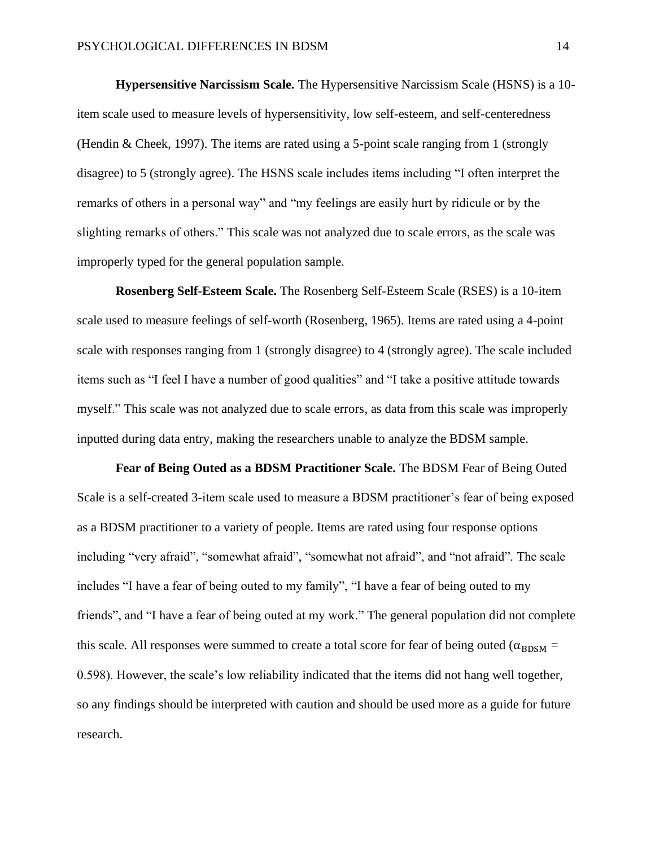**Hypersensitive Narcissism Scale.** The Hypersensitive Narcissism Scale (HSNS) is a 10 item scale used to measure levels of hypersensitivity, low self-esteem, and self-centeredness (Hendin & Cheek, 1997). The items are rated using a 5-point scale ranging from 1 (strongly disagree) to 5 (strongly agree). The HSNS scale includes items including "I often interpret the remarks of others in a personal way" and "my feelings are easily hurt by ridicule or by the slighting remarks of others." This scale was not analyzed due to scale errors, as the scale was improperly typed for the general population sample.

**Rosenberg Self-Esteem Scale.** The Rosenberg Self-Esteem Scale (RSES) is a 10-item scale used to measure feelings of self-worth (Rosenberg, 1965). Items are rated using a 4-point scale with responses ranging from 1 (strongly disagree) to 4 (strongly agree). The scale included items such as "I feel I have a number of good qualities" and "I take a positive attitude towards myself." This scale was not analyzed due to scale errors, as data from this scale was improperly inputted during data entry, making the researchers unable to analyze the BDSM sample.

**Fear of Being Outed as a BDSM Practitioner Scale.** The BDSM Fear of Being Outed Scale is a self-created 3-item scale used to measure a BDSM practitioner's fear of being exposed as a BDSM practitioner to a variety of people. Items are rated using four response options including "very afraid", "somewhat afraid", "somewhat not afraid", and "not afraid". The scale includes "I have a fear of being outed to my family", "I have a fear of being outed to my friends", and "I have a fear of being outed at my work." The general population did not complete this scale. All responses were summed to create a total score for fear of being outed ( $\alpha_{\text{BDSM}} =$ 0.598). However, the scale's low reliability indicated that the items did not hang well together, so any findings should be interpreted with caution and should be used more as a guide for future research.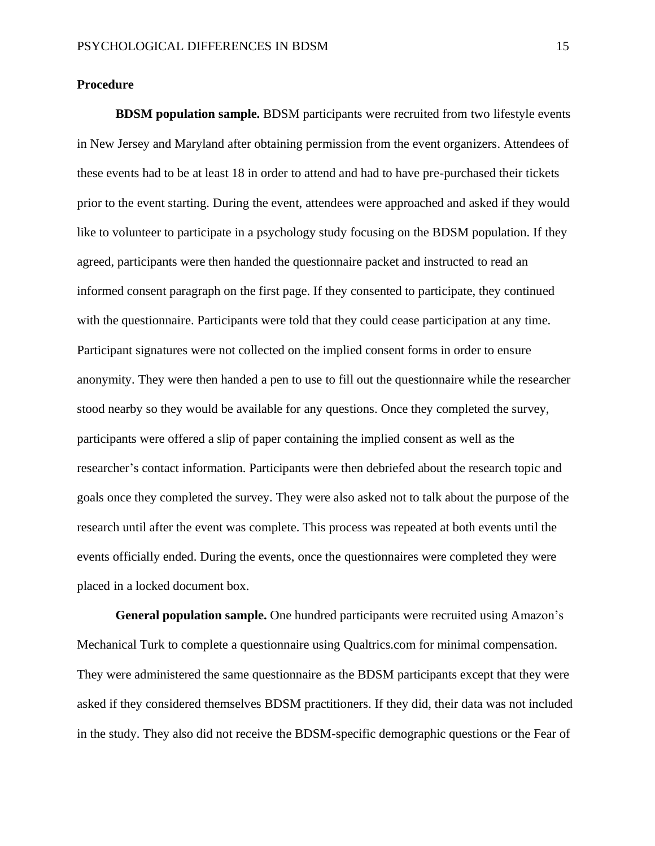# **Procedure**

**BDSM population sample.** BDSM participants were recruited from two lifestyle events in New Jersey and Maryland after obtaining permission from the event organizers. Attendees of these events had to be at least 18 in order to attend and had to have pre-purchased their tickets prior to the event starting. During the event, attendees were approached and asked if they would like to volunteer to participate in a psychology study focusing on the BDSM population. If they agreed, participants were then handed the questionnaire packet and instructed to read an informed consent paragraph on the first page. If they consented to participate, they continued with the questionnaire. Participants were told that they could cease participation at any time. Participant signatures were not collected on the implied consent forms in order to ensure anonymity. They were then handed a pen to use to fill out the questionnaire while the researcher stood nearby so they would be available for any questions. Once they completed the survey, participants were offered a slip of paper containing the implied consent as well as the researcher's contact information. Participants were then debriefed about the research topic and goals once they completed the survey. They were also asked not to talk about the purpose of the research until after the event was complete. This process was repeated at both events until the events officially ended. During the events, once the questionnaires were completed they were placed in a locked document box.

**General population sample.** One hundred participants were recruited using Amazon's Mechanical Turk to complete a questionnaire using Qualtrics.com for minimal compensation. They were administered the same questionnaire as the BDSM participants except that they were asked if they considered themselves BDSM practitioners. If they did, their data was not included in the study. They also did not receive the BDSM-specific demographic questions or the Fear of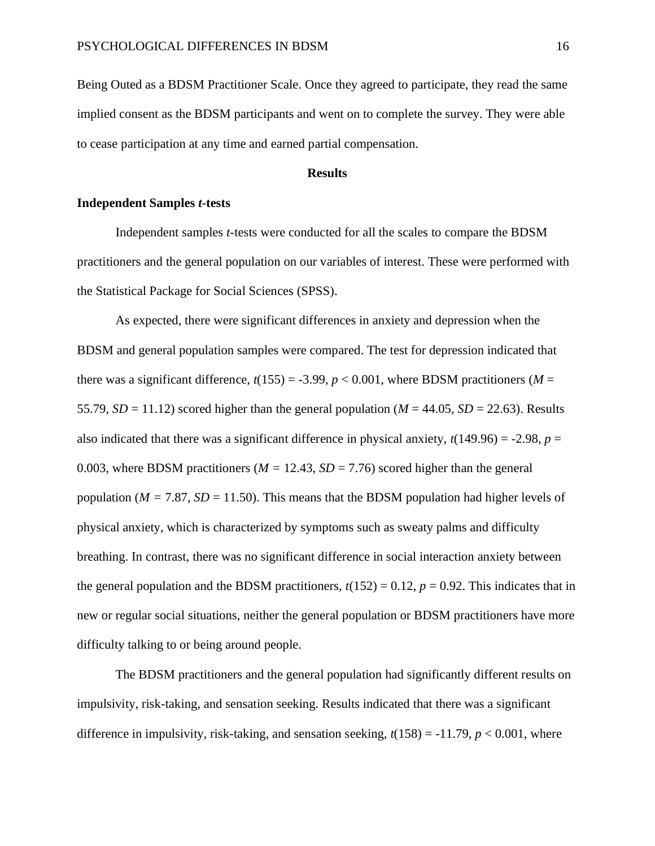Being Outed as a BDSM Practitioner Scale. Once they agreed to participate, they read the same implied consent as the BDSM participants and went on to complete the survey. They were able to cease participation at any time and earned partial compensation.

# **Results**

# **Independent Samples** *t***-tests**

Independent samples *t*-tests were conducted for all the scales to compare the BDSM practitioners and the general population on our variables of interest. These were performed with the Statistical Package for Social Sciences (SPSS).

As expected, there were significant differences in anxiety and depression when the BDSM and general population samples were compared. The test for depression indicated that there was a significant difference,  $t(155) = -3.99$ ,  $p < 0.001$ , where BDSM practitioners (*M* = 55.79,  $SD = 11.12$ ) scored higher than the general population ( $M = 44.05$ ,  $SD = 22.63$ ). Results also indicated that there was a significant difference in physical anxiety,  $t(149.96) = -2.98$ ,  $p =$ 0.003, where BDSM practitioners ( $M = 12.43$ ,  $SD = 7.76$ ) scored higher than the general population ( $M = 7.87$ ,  $SD = 11.50$ ). This means that the BDSM population had higher levels of physical anxiety, which is characterized by symptoms such as sweaty palms and difficulty breathing. In contrast, there was no significant difference in social interaction anxiety between the general population and the BDSM practitioners,  $t(152) = 0.12$ ,  $p = 0.92$ . This indicates that in new or regular social situations, neither the general population or BDSM practitioners have more difficulty talking to or being around people.

The BDSM practitioners and the general population had significantly different results on impulsivity, risk-taking, and sensation seeking. Results indicated that there was a significant difference in impulsivity, risk-taking, and sensation seeking,  $t(158) = -11.79$ ,  $p < 0.001$ , where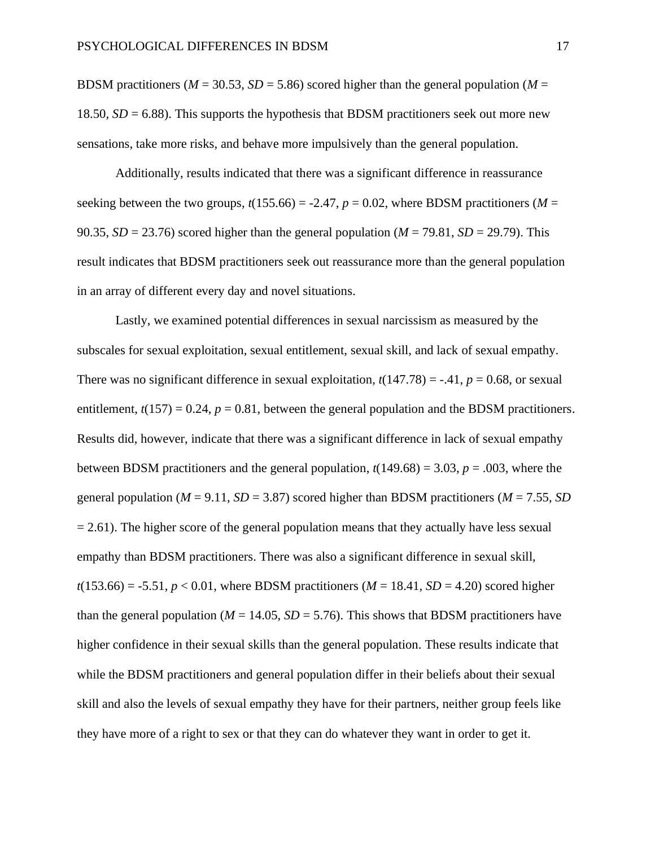BDSM practitioners ( $M = 30.53$ ,  $SD = 5.86$ ) scored higher than the general population ( $M =$ 18.50,  $SD = 6.88$ ). This supports the hypothesis that BDSM practitioners seek out more new sensations, take more risks, and behave more impulsively than the general population.

Additionally, results indicated that there was a significant difference in reassurance seeking between the two groups,  $t(155.66) = -2.47$ ,  $p = 0.02$ , where BDSM practitioners (*M* = 90.35,  $SD = 23.76$ ) scored higher than the general population ( $M = 79.81$ ,  $SD = 29.79$ ). This result indicates that BDSM practitioners seek out reassurance more than the general population in an array of different every day and novel situations.

Lastly, we examined potential differences in sexual narcissism as measured by the subscales for sexual exploitation, sexual entitlement, sexual skill, and lack of sexual empathy. There was no significant difference in sexual exploitation,  $t(147.78) = -.41$ ,  $p = 0.68$ , or sexual entitlement,  $t(157) = 0.24$ ,  $p = 0.81$ , between the general population and the BDSM practitioners. Results did, however, indicate that there was a significant difference in lack of sexual empathy between BDSM practitioners and the general population,  $t(149.68) = 3.03$ ,  $p = .003$ , where the general population ( $M = 9.11$ ,  $SD = 3.87$ ) scored higher than BDSM practitioners ( $M = 7.55$ , *SD*  $= 2.61$ ). The higher score of the general population means that they actually have less sexual empathy than BDSM practitioners. There was also a significant difference in sexual skill,  $t(153.66) = -5.51, p < 0.01$ , where BDSM practitioners ( $M = 18.41, SD = 4.20$ ) scored higher than the general population ( $M = 14.05$ ,  $SD = 5.76$ ). This shows that BDSM practitioners have higher confidence in their sexual skills than the general population. These results indicate that while the BDSM practitioners and general population differ in their beliefs about their sexual skill and also the levels of sexual empathy they have for their partners, neither group feels like they have more of a right to sex or that they can do whatever they want in order to get it.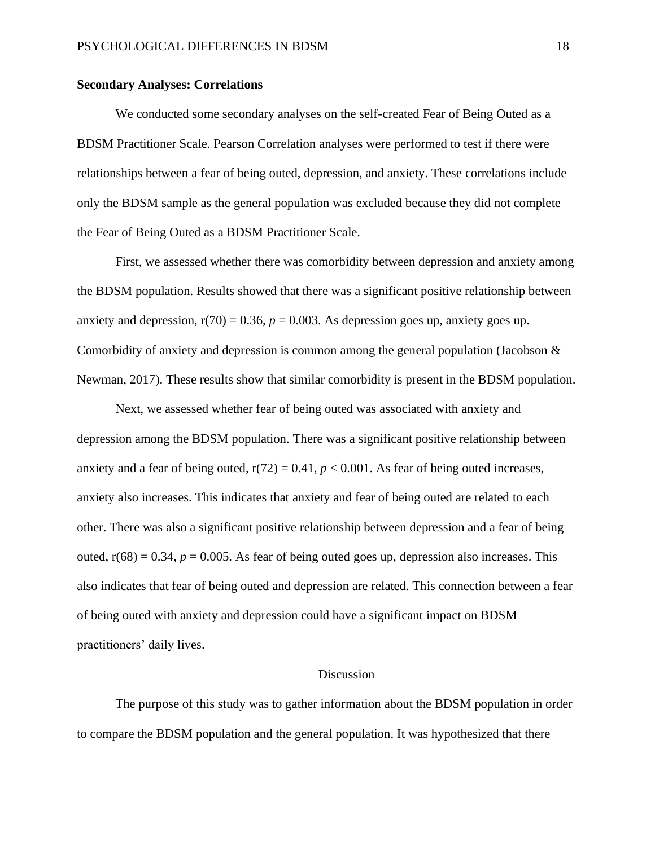## **Secondary Analyses: Correlations**

We conducted some secondary analyses on the self-created Fear of Being Outed as a BDSM Practitioner Scale. Pearson Correlation analyses were performed to test if there were relationships between a fear of being outed, depression, and anxiety. These correlations include only the BDSM sample as the general population was excluded because they did not complete the Fear of Being Outed as a BDSM Practitioner Scale.

First, we assessed whether there was comorbidity between depression and anxiety among the BDSM population. Results showed that there was a significant positive relationship between anxiety and depression,  $r(70) = 0.36$ ,  $p = 0.003$ . As depression goes up, anxiety goes up. Comorbidity of anxiety and depression is common among the general population (Jacobson  $\&$ Newman, 2017). These results show that similar comorbidity is present in the BDSM population.

Next, we assessed whether fear of being outed was associated with anxiety and depression among the BDSM population. There was a significant positive relationship between anxiety and a fear of being outed,  $r(72) = 0.41$ ,  $p < 0.001$ . As fear of being outed increases, anxiety also increases. This indicates that anxiety and fear of being outed are related to each other. There was also a significant positive relationship between depression and a fear of being outed,  $r(68) = 0.34$ ,  $p = 0.005$ . As fear of being outed goes up, depression also increases. This also indicates that fear of being outed and depression are related. This connection between a fear of being outed with anxiety and depression could have a significant impact on BDSM practitioners' daily lives.

#### **Discussion**

The purpose of this study was to gather information about the BDSM population in order to compare the BDSM population and the general population. It was hypothesized that there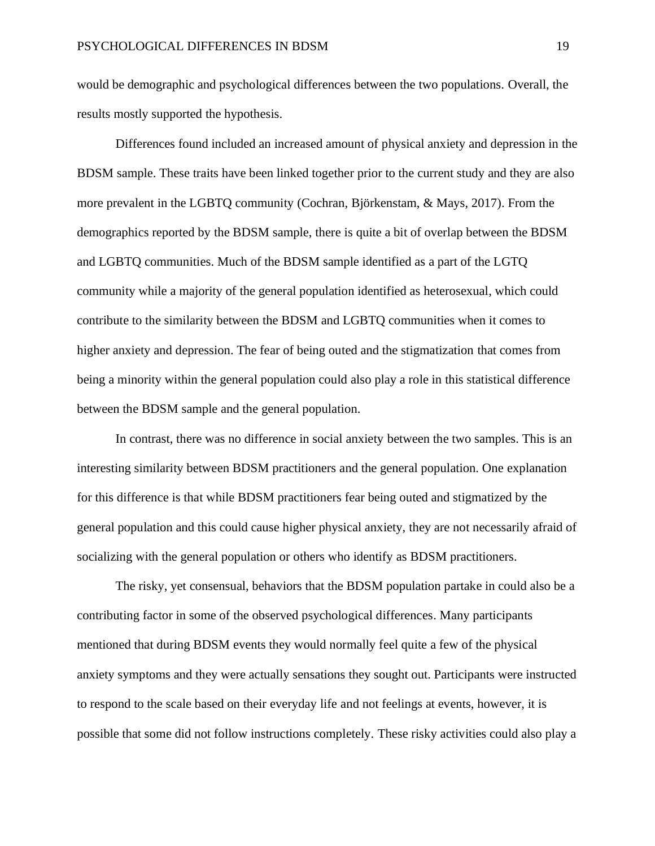would be demographic and psychological differences between the two populations. Overall, the results mostly supported the hypothesis.

Differences found included an increased amount of physical anxiety and depression in the BDSM sample. These traits have been linked together prior to the current study and they are also more prevalent in the LGBTQ community (Cochran, Björkenstam, & Mays, 2017). From the demographics reported by the BDSM sample, there is quite a bit of overlap between the BDSM and LGBTQ communities. Much of the BDSM sample identified as a part of the LGTQ community while a majority of the general population identified as heterosexual, which could contribute to the similarity between the BDSM and LGBTQ communities when it comes to higher anxiety and depression. The fear of being outed and the stigmatization that comes from being a minority within the general population could also play a role in this statistical difference between the BDSM sample and the general population.

In contrast, there was no difference in social anxiety between the two samples. This is an interesting similarity between BDSM practitioners and the general population. One explanation for this difference is that while BDSM practitioners fear being outed and stigmatized by the general population and this could cause higher physical anxiety, they are not necessarily afraid of socializing with the general population or others who identify as BDSM practitioners.

The risky, yet consensual, behaviors that the BDSM population partake in could also be a contributing factor in some of the observed psychological differences. Many participants mentioned that during BDSM events they would normally feel quite a few of the physical anxiety symptoms and they were actually sensations they sought out. Participants were instructed to respond to the scale based on their everyday life and not feelings at events, however, it is possible that some did not follow instructions completely. These risky activities could also play a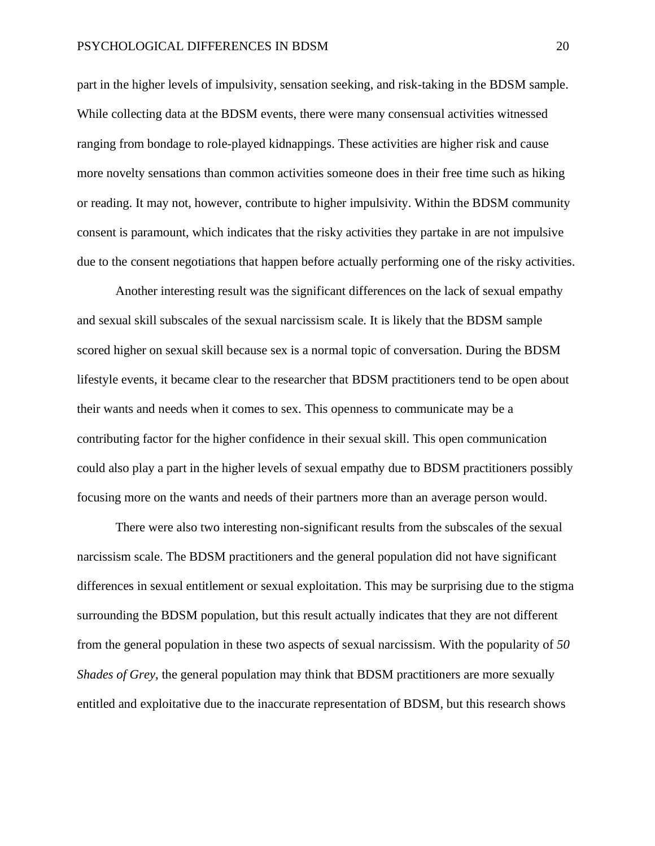part in the higher levels of impulsivity, sensation seeking, and risk-taking in the BDSM sample. While collecting data at the BDSM events, there were many consensual activities witnessed ranging from bondage to role-played kidnappings. These activities are higher risk and cause more novelty sensations than common activities someone does in their free time such as hiking or reading. It may not, however, contribute to higher impulsivity. Within the BDSM community consent is paramount, which indicates that the risky activities they partake in are not impulsive due to the consent negotiations that happen before actually performing one of the risky activities.

Another interesting result was the significant differences on the lack of sexual empathy and sexual skill subscales of the sexual narcissism scale. It is likely that the BDSM sample scored higher on sexual skill because sex is a normal topic of conversation. During the BDSM lifestyle events, it became clear to the researcher that BDSM practitioners tend to be open about their wants and needs when it comes to sex. This openness to communicate may be a contributing factor for the higher confidence in their sexual skill. This open communication could also play a part in the higher levels of sexual empathy due to BDSM practitioners possibly focusing more on the wants and needs of their partners more than an average person would.

There were also two interesting non-significant results from the subscales of the sexual narcissism scale. The BDSM practitioners and the general population did not have significant differences in sexual entitlement or sexual exploitation. This may be surprising due to the stigma surrounding the BDSM population, but this result actually indicates that they are not different from the general population in these two aspects of sexual narcissism. With the popularity of *50 Shades of Grey*, the general population may think that BDSM practitioners are more sexually entitled and exploitative due to the inaccurate representation of BDSM, but this research shows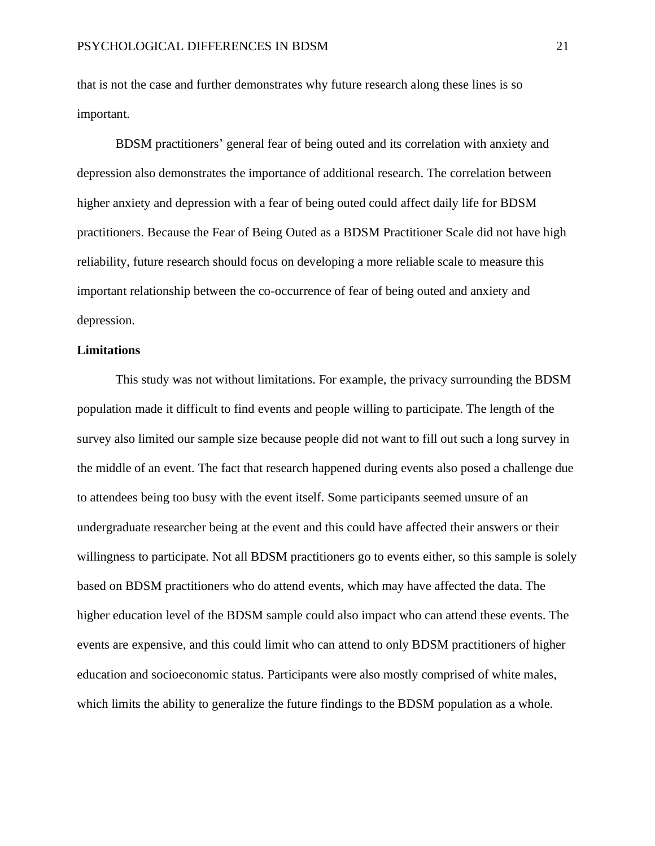that is not the case and further demonstrates why future research along these lines is so important.

BDSM practitioners' general fear of being outed and its correlation with anxiety and depression also demonstrates the importance of additional research. The correlation between higher anxiety and depression with a fear of being outed could affect daily life for BDSM practitioners. Because the Fear of Being Outed as a BDSM Practitioner Scale did not have high reliability, future research should focus on developing a more reliable scale to measure this important relationship between the co-occurrence of fear of being outed and anxiety and depression.

## **Limitations**

This study was not without limitations. For example, the privacy surrounding the BDSM population made it difficult to find events and people willing to participate. The length of the survey also limited our sample size because people did not want to fill out such a long survey in the middle of an event. The fact that research happened during events also posed a challenge due to attendees being too busy with the event itself. Some participants seemed unsure of an undergraduate researcher being at the event and this could have affected their answers or their willingness to participate. Not all BDSM practitioners go to events either, so this sample is solely based on BDSM practitioners who do attend events, which may have affected the data. The higher education level of the BDSM sample could also impact who can attend these events. The events are expensive, and this could limit who can attend to only BDSM practitioners of higher education and socioeconomic status. Participants were also mostly comprised of white males, which limits the ability to generalize the future findings to the BDSM population as a whole.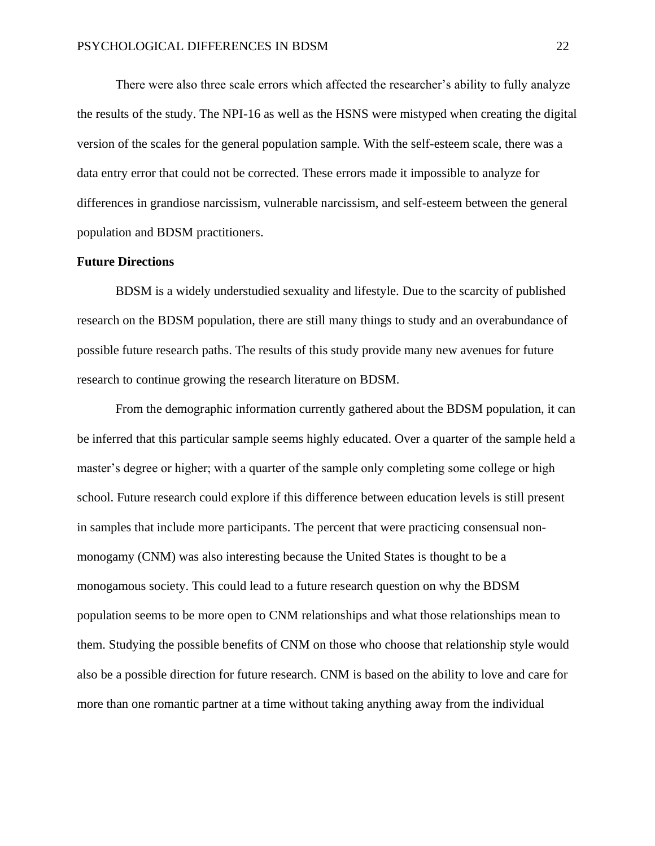There were also three scale errors which affected the researcher's ability to fully analyze the results of the study. The NPI-16 as well as the HSNS were mistyped when creating the digital version of the scales for the general population sample. With the self-esteem scale, there was a data entry error that could not be corrected. These errors made it impossible to analyze for differences in grandiose narcissism, vulnerable narcissism, and self-esteem between the general population and BDSM practitioners.

# **Future Directions**

BDSM is a widely understudied sexuality and lifestyle. Due to the scarcity of published research on the BDSM population, there are still many things to study and an overabundance of possible future research paths. The results of this study provide many new avenues for future research to continue growing the research literature on BDSM.

From the demographic information currently gathered about the BDSM population, it can be inferred that this particular sample seems highly educated. Over a quarter of the sample held a master's degree or higher; with a quarter of the sample only completing some college or high school. Future research could explore if this difference between education levels is still present in samples that include more participants. The percent that were practicing consensual nonmonogamy (CNM) was also interesting because the United States is thought to be a monogamous society. This could lead to a future research question on why the BDSM population seems to be more open to CNM relationships and what those relationships mean to them. Studying the possible benefits of CNM on those who choose that relationship style would also be a possible direction for future research. CNM is based on the ability to love and care for more than one romantic partner at a time without taking anything away from the individual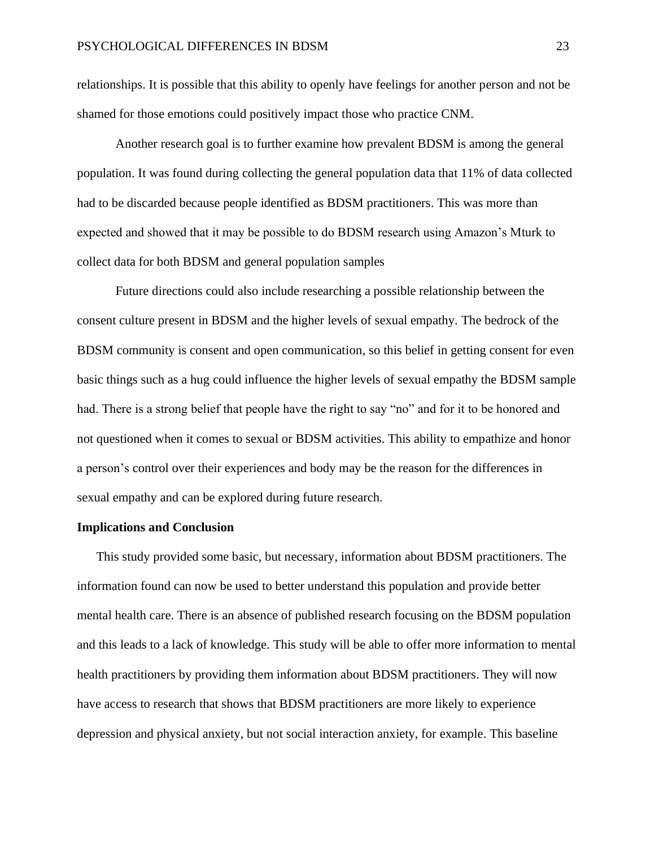relationships. It is possible that this ability to openly have feelings for another person and not be shamed for those emotions could positively impact those who practice CNM.

Another research goal is to further examine how prevalent BDSM is among the general population. It was found during collecting the general population data that 11% of data collected had to be discarded because people identified as BDSM practitioners. This was more than expected and showed that it may be possible to do BDSM research using Amazon's Mturk to collect data for both BDSM and general population samples

Future directions could also include researching a possible relationship between the consent culture present in BDSM and the higher levels of sexual empathy. The bedrock of the BDSM community is consent and open communication, so this belief in getting consent for even basic things such as a hug could influence the higher levels of sexual empathy the BDSM sample had. There is a strong belief that people have the right to say "no" and for it to be honored and not questioned when it comes to sexual or BDSM activities. This ability to empathize and honor a person's control over their experiences and body may be the reason for the differences in sexual empathy and can be explored during future research.

#### **Implications and Conclusion**

This study provided some basic, but necessary, information about BDSM practitioners. The information found can now be used to better understand this population and provide better mental health care. There is an absence of published research focusing on the BDSM population and this leads to a lack of knowledge. This study will be able to offer more information to mental health practitioners by providing them information about BDSM practitioners. They will now have access to research that shows that BDSM practitioners are more likely to experience depression and physical anxiety, but not social interaction anxiety, for example. This baseline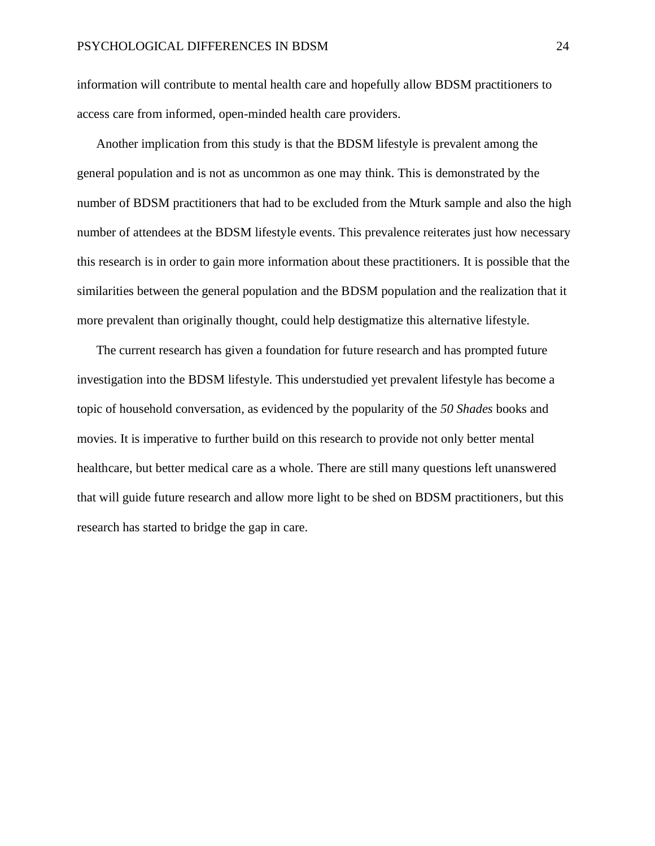information will contribute to mental health care and hopefully allow BDSM practitioners to access care from informed, open-minded health care providers.

Another implication from this study is that the BDSM lifestyle is prevalent among the general population and is not as uncommon as one may think. This is demonstrated by the number of BDSM practitioners that had to be excluded from the Mturk sample and also the high number of attendees at the BDSM lifestyle events. This prevalence reiterates just how necessary this research is in order to gain more information about these practitioners. It is possible that the similarities between the general population and the BDSM population and the realization that it more prevalent than originally thought, could help destigmatize this alternative lifestyle.

The current research has given a foundation for future research and has prompted future investigation into the BDSM lifestyle. This understudied yet prevalent lifestyle has become a topic of household conversation, as evidenced by the popularity of the *50 Shades* books and movies. It is imperative to further build on this research to provide not only better mental healthcare, but better medical care as a whole. There are still many questions left unanswered that will guide future research and allow more light to be shed on BDSM practitioners, but this research has started to bridge the gap in care.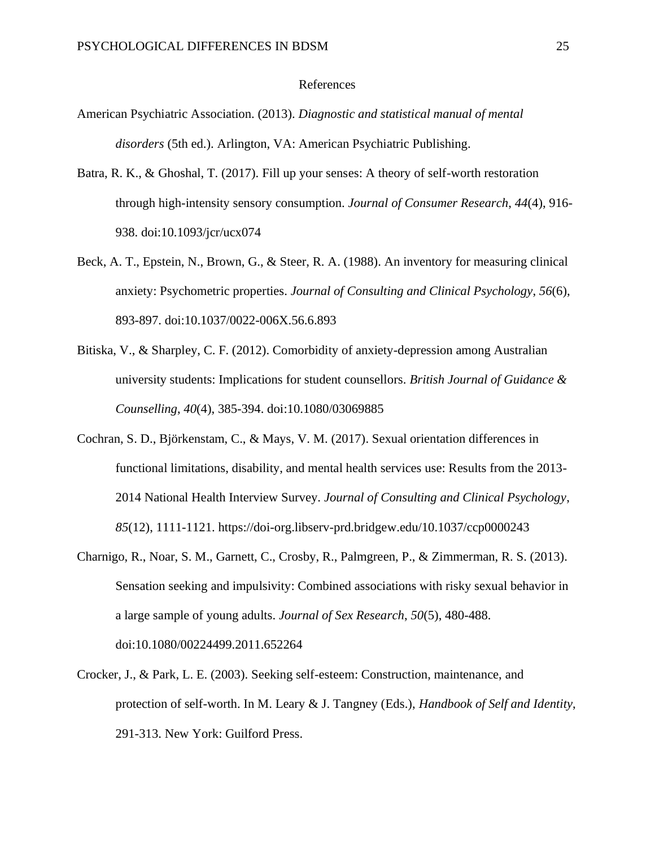#### References

- American Psychiatric Association. (2013). *Diagnostic and statistical manual of mental disorders* (5th ed.). Arlington, VA: American Psychiatric Publishing.
- Batra, R. K., & Ghoshal, T. (2017). Fill up your senses: A theory of self-worth restoration through high-intensity sensory consumption. *Journal of Consumer Research*, *44*(4), 916- 938. doi:10.1093/jcr/ucx074
- Beck, A. T., Epstein, N., Brown, G., & Steer, R. A. (1988). An inventory for measuring clinical anxiety: Psychometric properties. *Journal of Consulting and Clinical Psychology*, *56*(6), 893-897. doi:10.1037/0022-006X.56.6.893
- Bitiska, V., & Sharpley, C. F. (2012). Comorbidity of anxiety-depression among Australian university students: Implications for student counsellors. *British Journal of Guidance & Counselling*, *40*(4), 385-394. doi:10.1080/03069885
- Cochran, S. D., Björkenstam, C., & Mays, V. M. (2017). Sexual orientation differences in functional limitations, disability, and mental health services use: Results from the 2013- 2014 National Health Interview Survey. *Journal of Consulting and Clinical Psychology*, *85*(12), 1111-1121. https://doi-org.libserv-prd.bridgew.edu/10.1037/ccp0000243
- Charnigo, R., Noar, S. M., Garnett, C., Crosby, R., Palmgreen, P., & Zimmerman, R. S. (2013). Sensation seeking and impulsivity: Combined associations with risky sexual behavior in a large sample of young adults. *Journal of Sex Research*, *50*(5), 480-488. doi:10.1080/00224499.2011.652264
- Crocker, J., & Park, L. E. (2003). Seeking self-esteem: Construction, maintenance, and protection of self-worth. In M. Leary & J. Tangney (Eds.), *Handbook of Self and Identity*, 291-313. New York: Guilford Press.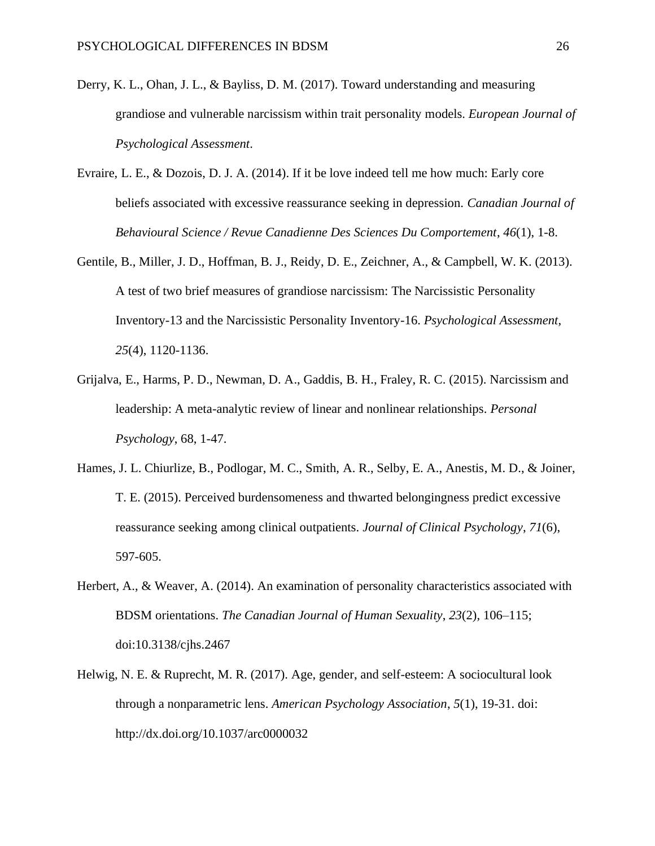- Derry, K. L., Ohan, J. L., & Bayliss, D. M. (2017). Toward understanding and measuring grandiose and vulnerable narcissism within trait personality models. *European Journal of Psychological Assessment*.
- Evraire, L. E., & Dozois, D. J. A. (2014). If it be love indeed tell me how much: Early core beliefs associated with excessive reassurance seeking in depression. *Canadian Journal of Behavioural Science / Revue Canadienne Des Sciences Du Comportement*, *46*(1), 1-8.
- Gentile, B., Miller, J. D., Hoffman, B. J., Reidy, D. E., Zeichner, A., & Campbell, W. K. (2013). A test of two brief measures of grandiose narcissism: The Narcissistic Personality Inventory-13 and the Narcissistic Personality Inventory-16. *Psychological Assessment*, *25*(4), 1120-1136.
- Grijalva, E., Harms, P. D., Newman, D. A., Gaddis, B. H., Fraley, R. C. (2015). Narcissism and leadership: A meta-analytic review of linear and nonlinear relationships. *Personal Psychology*, 68, 1-47.
- Hames, J. L. Chiurlize, B., Podlogar, M. C., Smith, A. R., Selby, E. A., Anestis, M. D., & Joiner, T. E. (2015). Perceived burdensomeness and thwarted belongingness predict excessive reassurance seeking among clinical outpatients. *Journal of Clinical Psychology*, *71*(6), 597-605.
- Herbert, A., & Weaver, A. (2014). An examination of personality characteristics associated with BDSM orientations. *The Canadian Journal of Human Sexuality*, *23*(2), 106–115; doi:10.3138/cjhs.2467
- Helwig, N. E. & Ruprecht, M. R. (2017). Age, gender, and self-esteem: A sociocultural look through a nonparametric lens. *American Psychology Association*, *5*(1), 19-31. doi: [http://dx.doi.org/10.1037/arc0000032](http://psycnet.apa.org/doi/10.1037/arc0000032)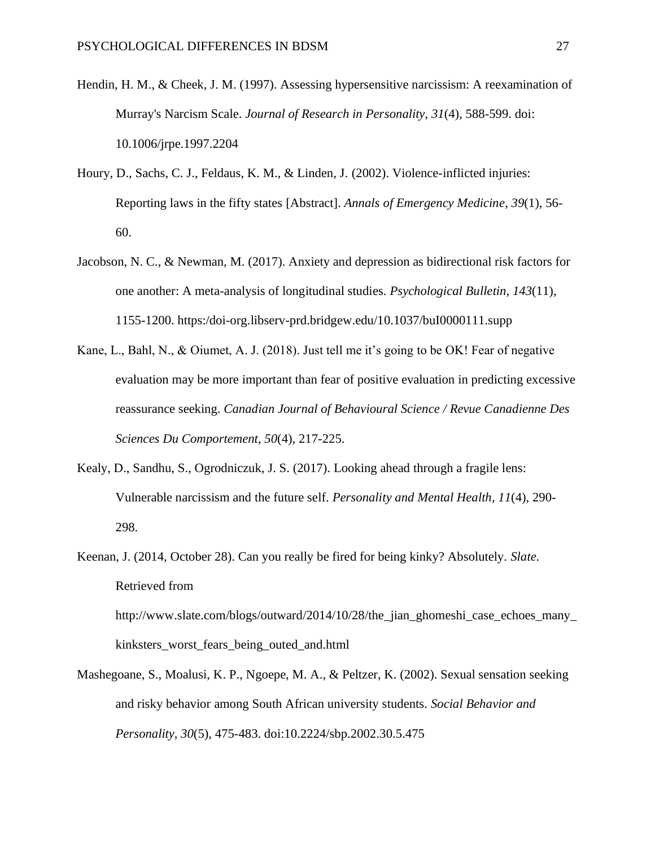- Hendin, H. M., & Cheek, J. M. (1997). Assessing hypersensitive narcissism: A reexamination of Murray's Narcism Scale. *Journal of Research in Personality*, *31*(4), 588-599. doi: 10.1006/jrpe.1997.2204
- Houry, D., Sachs, C. J., Feldaus, K. M., & Linden, J. (2002). Violence-inflicted injuries: Reporting laws in the fifty states [Abstract]. *Annals of Emergency Medicine*, *39*(1), 56- 60.
- Jacobson, N. C., & Newman, M. (2017). Anxiety and depression as bidirectional risk factors for one another: A meta-analysis of longitudinal studies. *Psychological Bulletin*, *143*(11), 1155-1200. https:/doi-org.libserv-prd.bridgew.edu/10.1037/buI0000111.supp
- Kane, L., Bahl, N., & Oiumet, A. J. (2018). Just tell me it's going to be OK! Fear of negative evaluation may be more important than fear of positive evaluation in predicting excessive reassurance seeking. *Canadian Journal of Behavioural Science / Revue Canadienne Des Sciences Du Comportement*, *50*(4), 217-225.
- Kealy, D., Sandhu, S., Ogrodniczuk, J. S. (2017). Looking ahead through a fragile lens: Vulnerable narcissism and the future self. *Personality and Mental Health*, *11*(4), 290- 298.
- Keenan, J. (2014, October 28). Can you really be fired for being kinky? Absolutely. *Slate*. Retrieved from http://www.slate.com/blogs/outward/2014/10/28/the\_jian\_ghomeshi\_case\_echoes\_many\_ kinksters\_worst\_fears\_being\_outed\_and.html
- Mashegoane, S., Moalusi, K. P., Ngoepe, M. A., & Peltzer, K. (2002). Sexual sensation seeking and risky behavior among South African university students. *Social Behavior and Personality*, *30*(5), 475-483. doi:10.2224/sbp.2002.30.5.475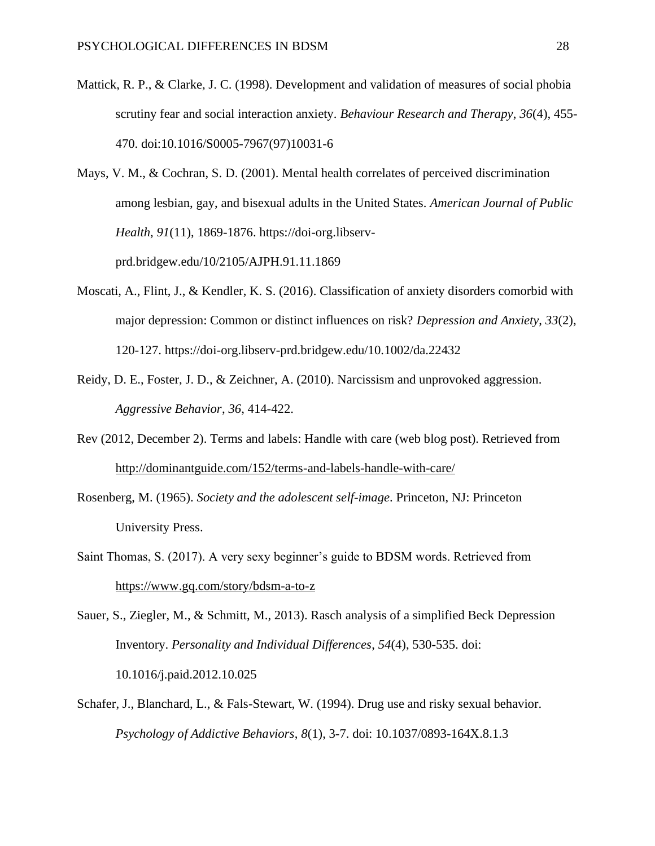- Mattick, R. P., & Clarke, J. C. (1998). Development and validation of measures of social phobia scrutiny fear and social interaction anxiety. *Behaviour Research and Therapy*, *36*(4), 455- 470. doi:10.1016/S0005-7967(97)10031-6
- Mays, V. M., & Cochran, S. D. (2001). Mental health correlates of perceived discrimination among lesbian, gay, and bisexual adults in the United States. *American Journal of Public Health*, *91*(11), 1869-1876. [https://doi-org.libserv](https://doi-org.libserv-prd.bridgew.edu/10/2105/AJPH.91.11.1869)[prd.bridgew.edu/10/2105/AJPH.91.11.1869](https://doi-org.libserv-prd.bridgew.edu/10/2105/AJPH.91.11.1869)
- Moscati, A., Flint, J., & Kendler, K. S. (2016). Classification of anxiety disorders comorbid with major depression: Common or distinct influences on risk? *Depression and Anxiety*, *33*(2), 120-127. https://doi-org.libserv-prd.bridgew.edu/10.1002/da.22432
- Reidy, D. E., Foster, J. D., & Zeichner, A. (2010). Narcissism and unprovoked aggression. *Aggressive Behavior*, *36*, 414-422.
- Rev (2012, December 2). Terms and labels: Handle with care (web blog post). Retrieved from <http://dominantguide.com/152/terms-and-labels-handle-with-care/>
- Rosenberg, M. (1965). *Society and the adolescent self-image*. Princeton, NJ: Princeton University Press.
- Saint Thomas, S. (2017). A very sexy beginner's guide to BDSM words. Retrieved from <https://www.gq.com/story/bdsm-a-to-z>

Sauer, S., Ziegler, M., & Schmitt, M., 2013). Rasch analysis of a simplified Beck Depression Inventory. *Personality and Individual Differences*, *54*(4), 530-535. doi: 10.1016/j.paid.2012.10.025

Schafer, J., Blanchard, L., & Fals-Stewart, W. (1994). Drug use and risky sexual behavior. *Psychology of Addictive Behaviors*, *8*(1), 3-7. doi: 10.1037/0893-164X.8.1.3